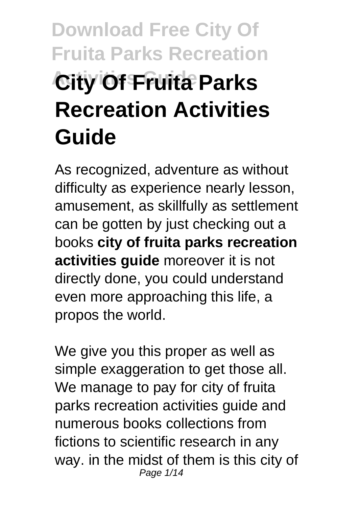# **Download Free City Of Fruita Parks Recreation City Of Fruita Parks Recreation Activities Guide**

As recognized, adventure as without difficulty as experience nearly lesson, amusement, as skillfully as settlement can be gotten by just checking out a books **city of fruita parks recreation activities guide** moreover it is not directly done, you could understand even more approaching this life, a propos the world.

We give you this proper as well as simple exaggeration to get those all. We manage to pay for city of fruita parks recreation activities guide and numerous books collections from fictions to scientific research in any way. in the midst of them is this city of Page 1/14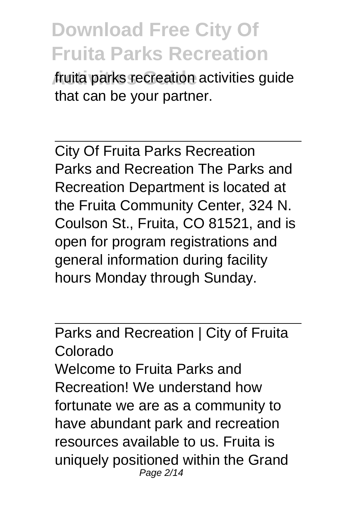**Activities Guide** fruita parks recreation activities guide that can be your partner.

City Of Fruita Parks Recreation Parks and Recreation The Parks and Recreation Department is located at the Fruita Community Center, 324 N. Coulson St., Fruita, CO 81521, and is open for program registrations and general information during facility hours Monday through Sunday.

Parks and Recreation | City of Fruita Colorado Welcome to Fruita Parks and Recreation! We understand how fortunate we are as a community to have abundant park and recreation resources available to us. Fruita is uniquely positioned within the Grand Page 2/14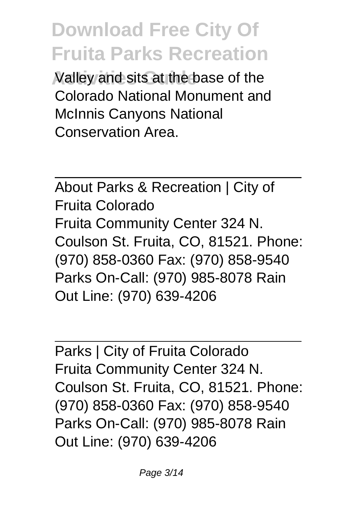**Activities Guide** Valley and sits at the base of the Colorado National Monument and McInnis Canyons National Conservation Area.

About Parks & Recreation | City of Fruita Colorado Fruita Community Center 324 N. Coulson St. Fruita, CO, 81521. Phone: (970) 858-0360 Fax: (970) 858-9540 Parks On-Call: (970) 985-8078 Rain Out Line: (970) 639-4206

Parks | City of Fruita Colorado Fruita Community Center 324 N. Coulson St. Fruita, CO, 81521. Phone: (970) 858-0360 Fax: (970) 858-9540 Parks On-Call: (970) 985-8078 Rain Out Line: (970) 639-4206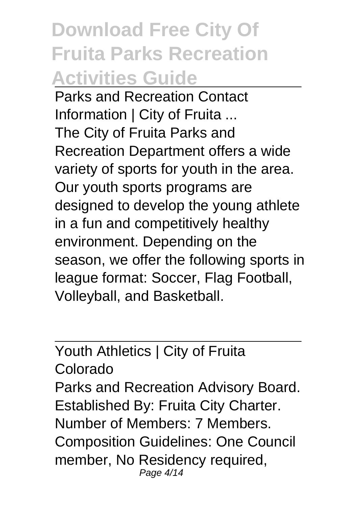# **Download Free City Of Fruita Parks Recreation Activities Guide**

Parks and Recreation Contact Information | City of Fruita ... The City of Fruita Parks and Recreation Department offers a wide variety of sports for youth in the area. Our youth sports programs are designed to develop the young athlete in a fun and competitively healthy environment. Depending on the season, we offer the following sports in league format: Soccer, Flag Football, Volleyball, and Basketball.

Youth Athletics | City of Fruita Colorado Parks and Recreation Advisory Board. Established By: Fruita City Charter. Number of Members: 7 Members. Composition Guidelines: One Council member, No Residency required, Page 4/14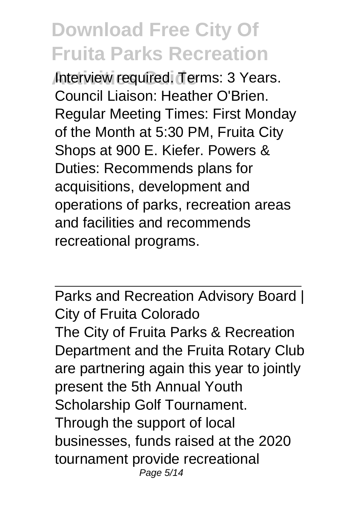**Interview required. Terms: 3 Years.** Council Liaison: Heather O'Brien. Regular Meeting Times: First Monday of the Month at 5:30 PM, Fruita City Shops at 900 E. Kiefer. Powers & Duties: Recommends plans for acquisitions, development and operations of parks, recreation areas and facilities and recommends recreational programs.

Parks and Recreation Advisory Board | City of Fruita Colorado The City of Fruita Parks & Recreation Department and the Fruita Rotary Club are partnering again this year to jointly present the 5th Annual Youth Scholarship Golf Tournament. Through the support of local businesses, funds raised at the 2020 tournament provide recreational Page 5/14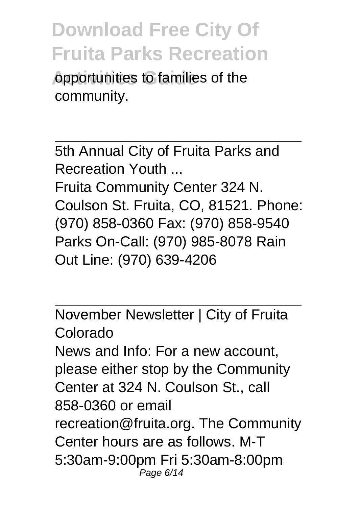**Activity** copportunities to families of the community.

5th Annual City of Fruita Parks and Recreation Youth ... Fruita Community Center 324 N. Coulson St. Fruita, CO, 81521. Phone: (970) 858-0360 Fax: (970) 858-9540 Parks On-Call: (970) 985-8078 Rain Out Line: (970) 639-4206

November Newsletter | City of Fruita Colorado News and Info: For a new account, please either stop by the Community Center at 324 N. Coulson St., call 858-0360 or email recreation@fruita.org. The Community Center hours are as follows. M-T 5:30am-9:00pm Fri 5:30am-8:00pm Page 6/14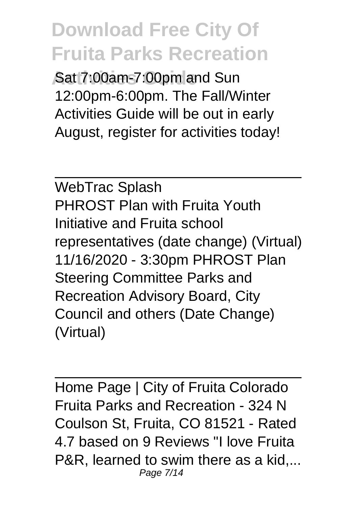**Sat 7:00am-7:00pm and Sun** 12:00pm-6:00pm. The Fall/Winter Activities Guide will be out in early August, register for activities today!

WebTrac Splash PHROST Plan with Fruita Youth Initiative and Fruita school representatives (date change) (Virtual) 11/16/2020 - 3:30pm PHROST Plan Steering Committee Parks and Recreation Advisory Board, City Council and others (Date Change) (Virtual)

Home Page | City of Fruita Colorado Fruita Parks and Recreation - 324 N Coulson St, Fruita, CO 81521 - Rated 4.7 based on 9 Reviews "I love Fruita P&R, learned to swim there as a kid,... Page 7/14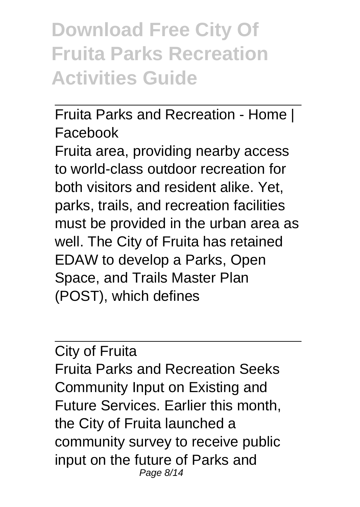### **Download Free City Of Fruita Parks Recreation Activities Guide**

Fruita Parks and Recreation - Home | Facebook

Fruita area, providing nearby access to world-class outdoor recreation for both visitors and resident alike. Yet, parks, trails, and recreation facilities must be provided in the urban area as well. The City of Fruita has retained EDAW to develop a Parks, Open Space, and Trails Master Plan (POST), which defines

#### City of Fruita

Fruita Parks and Recreation Seeks Community Input on Existing and Future Services. Earlier this month, the City of Fruita launched a community survey to receive public input on the future of Parks and Page 8/14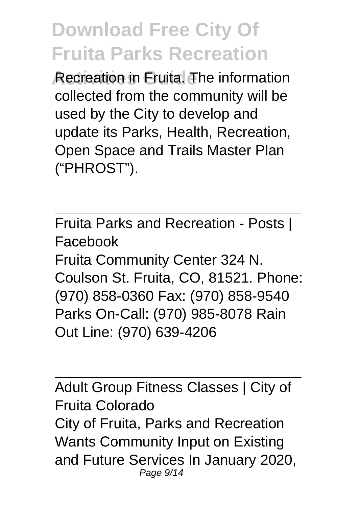**Redreation in Fruita. The information** collected from the community will be used by the City to develop and update its Parks, Health, Recreation, Open Space and Trails Master Plan ("PHROST").

Fruita Parks and Recreation - Posts | Facebook Fruita Community Center 324 N. Coulson St. Fruita, CO, 81521. Phone: (970) 858-0360 Fax: (970) 858-9540 Parks On-Call: (970) 985-8078 Rain Out Line: (970) 639-4206

Adult Group Fitness Classes | City of Fruita Colorado City of Fruita, Parks and Recreation Wants Community Input on Existing and Future Services In January 2020, Page 9/14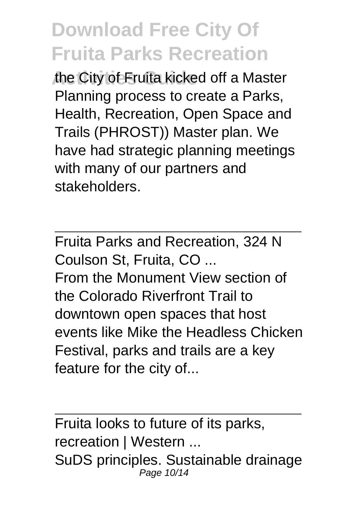the City of Fruita kicked off a Master Planning process to create a Parks, Health, Recreation, Open Space and Trails (PHROST)) Master plan. We have had strategic planning meetings with many of our partners and stakeholders.

Fruita Parks and Recreation, 324 N Coulson St, Fruita, CO ... From the Monument View section of the Colorado Riverfront Trail to downtown open spaces that host events like Mike the Headless Chicken Festival, parks and trails are a key feature for the city of...

Fruita looks to future of its parks, recreation | Western ... SuDS principles. Sustainable drainage Page 10/14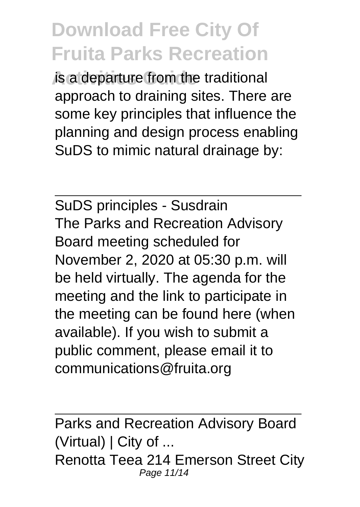*is a departure from the traditional* approach to draining sites. There are some key principles that influence the planning and design process enabling SuDS to mimic natural drainage by:

SuDS principles - Susdrain The Parks and Recreation Advisory Board meeting scheduled for November 2, 2020 at 05:30 p.m. will be held virtually. The agenda for the meeting and the link to participate in the meeting can be found here (when available). If you wish to submit a public comment, please email it to communications@fruita.org

Parks and Recreation Advisory Board (Virtual) | City of ... Renotta Teea 214 Emerson Street City Page 11/14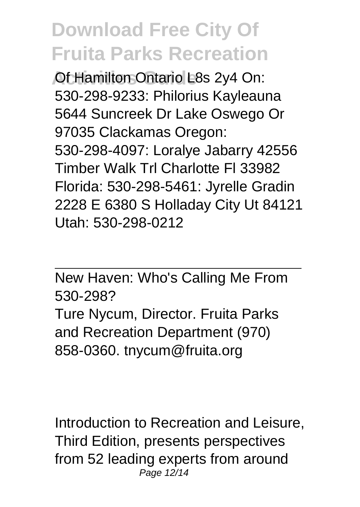**Activities Ontario L8s 2y4 On:** 530-298-9233: Philorius Kayleauna 5644 Suncreek Dr Lake Oswego Or 97035 Clackamas Oregon: 530-298-4097: Loralye Jabarry 42556 Timber Walk Trl Charlotte Fl 33982 Florida: 530-298-5461: Jyrelle Gradin 2228 E 6380 S Holladay City Ut 84121 Utah: 530-298-0212

New Haven: Who's Calling Me From 530-298?

Ture Nycum, Director. Fruita Parks and Recreation Department (970) 858-0360. tnycum@fruita.org

Introduction to Recreation and Leisure, Third Edition, presents perspectives from 52 leading experts from around Page 12/14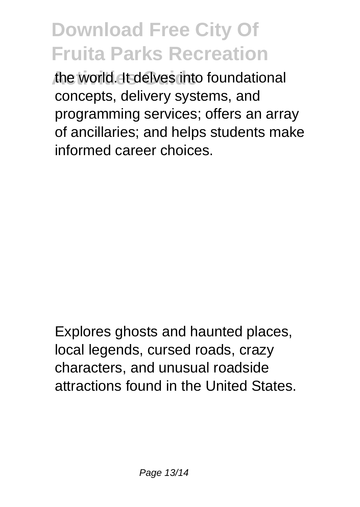**Activities Guide** the world. It delves into foundational concepts, delivery systems, and programming services; offers an array of ancillaries; and helps students make informed career choices.

Explores ghosts and haunted places, local legends, cursed roads, crazy characters, and unusual roadside attractions found in the United States.